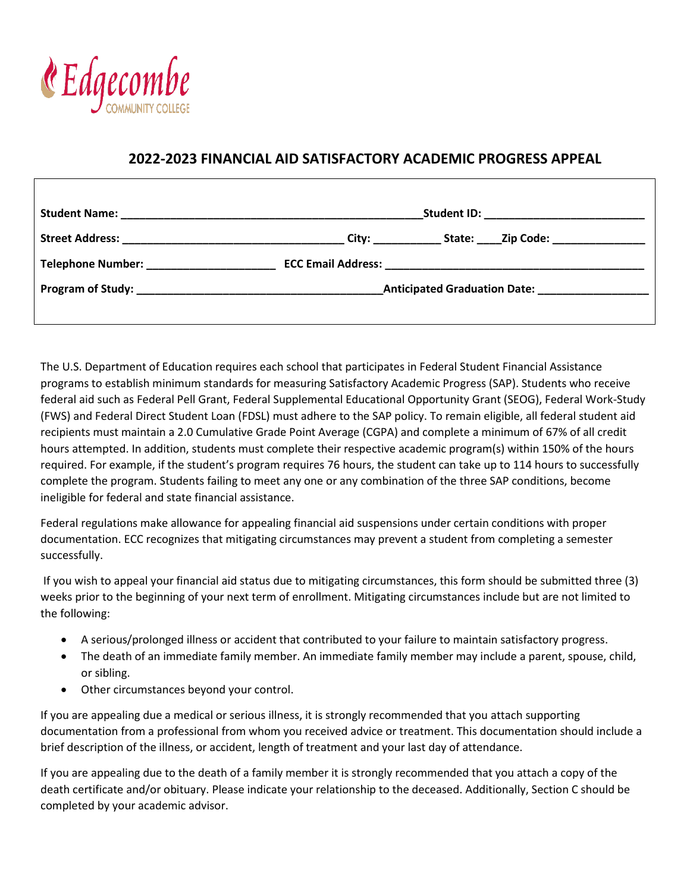

## **2022-2023 FINANCIAL AID SATISFACTORY ACADEMIC PROGRESS APPEAL**

|                                                                          | State: ______ Zip Code: __________________                                                                             |  |
|--------------------------------------------------------------------------|------------------------------------------------------------------------------------------------------------------------|--|
| Telephone Number: National Property of the Contract of Telephone Number: |                                                                                                                        |  |
|                                                                          | <b>Anticipated Graduation Date:</b> Manual Manual Manual Manual Manual Manual Manual Manual Manual Manual Manual Manua |  |

The U.S. Department of Education requires each school that participates in Federal Student Financial Assistance programs to establish minimum standards for measuring Satisfactory Academic Progress (SAP). Students who receive federal aid such as Federal Pell Grant, Federal Supplemental Educational Opportunity Grant (SEOG), Federal Work-Study (FWS) and Federal Direct Student Loan (FDSL) must adhere to the SAP policy. To remain eligible, all federal student aid recipients must maintain a 2.0 Cumulative Grade Point Average (CGPA) and complete a minimum of 67% of all credit hours attempted. In addition, students must complete their respective academic program(s) within 150% of the hours required. For example, if the student's program requires 76 hours, the student can take up to 114 hours to successfully complete the program. Students failing to meet any one or any combination of the three SAP conditions, become ineligible for federal and state financial assistance.

Federal regulations make allowance for appealing financial aid suspensions under certain conditions with proper documentation. ECC recognizes that mitigating circumstances may prevent a student from completing a semester successfully.

If you wish to appeal your financial aid status due to mitigating circumstances, this form should be submitted three (3) weeks prior to the beginning of your next term of enrollment. Mitigating circumstances include but are not limited to the following:

- A serious/prolonged illness or accident that contributed to your failure to maintain satisfactory progress.
- The death of an immediate family member. An immediate family member may include a parent, spouse, child, or sibling.
- Other circumstances beyond your control.

If you are appealing due a medical or serious illness, it is strongly recommended that you attach supporting documentation from a professional from whom you received advice or treatment. This documentation should include a brief description of the illness, or accident, length of treatment and your last day of attendance.

If you are appealing due to the death of a family member it is strongly recommended that you attach a copy of the death certificate and/or obituary. Please indicate your relationship to the deceased. Additionally, Section C should be completed by your academic advisor.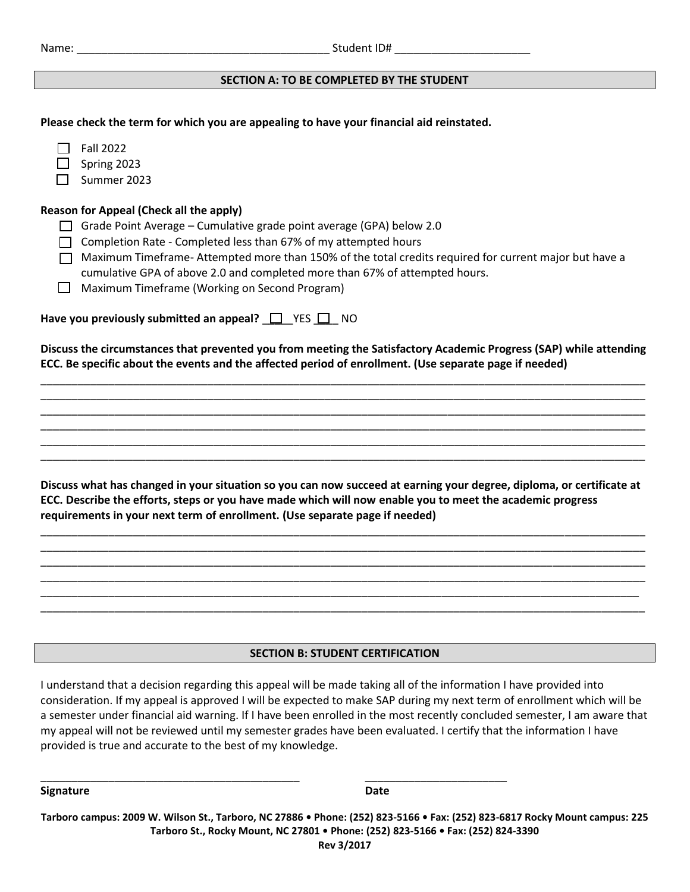| Name: |  |  |  |
|-------|--|--|--|
|       |  |  |  |

## **SECTION A: TO BE COMPLETED BY THE STUDENT**

| Please check the term for which you are appealing to have your financial aid reinstated.                                                                                                                                                                                                                                                                                                                                                                 |
|----------------------------------------------------------------------------------------------------------------------------------------------------------------------------------------------------------------------------------------------------------------------------------------------------------------------------------------------------------------------------------------------------------------------------------------------------------|
| <b>Fall 2022</b><br>Spring 2023<br>Summer 2023                                                                                                                                                                                                                                                                                                                                                                                                           |
| <b>Reason for Appeal (Check all the apply)</b><br>Grade Point Average - Cumulative grade point average (GPA) below 2.0<br>$\mathsf{L}$<br>Completion Rate - Completed less than 67% of my attempted hours<br>Maximum Timeframe-Attempted more than 150% of the total credits required for current major but have a<br>cumulative GPA of above 2.0 and completed more than 67% of attempted hours.<br>Maximum Timeframe (Working on Second Program)<br>ΙI |
| Have you previously submitted an appeal? $\Box$ YES $\Box$ NO                                                                                                                                                                                                                                                                                                                                                                                            |
| Discuss the circumstances that prevented you from meeting the Satisfactory Academic Progress (SAP) while attending<br>ECC. Be specific about the events and the affected period of enrollment. (Use separate page if needed)                                                                                                                                                                                                                             |
| Discuss what has changed in your situation so you can now succeed at earning your degree, diploma, or certificate at<br>ECC. Describe the efforts, steps or you have made which will now enable you to meet the academic progress<br>requirements in your next term of enrollment. (Use separate page if needed)                                                                                                                                         |
|                                                                                                                                                                                                                                                                                                                                                                                                                                                          |
| <b>SECTION B: STUDENT CERTIFICATION</b>                                                                                                                                                                                                                                                                                                                                                                                                                  |
| I understand that a decision regarding this appeal will be made taking all of the information I have provided into<br>consideration If my anneal is annoyed I will be expected to make SAP during my next term of enrollment which will be                                                                                                                                                                                                               |

consideration. If my appeal is approved I will be expected to make SAP during my next term of enrollment which will be a semester under financial aid warning. If I have been enrolled in the most recently concluded semester, I am aware that my appeal will not be reviewed until my semester grades have been evaluated. I certify that the information I have provided is true and accurate to the best of my knowledge.

**Signature Date**

**Tarboro campus: 2009 W. Wilson St., Tarboro, NC 27886 • Phone: (252) 823-5166 • Fax: (252) 823-6817 Rocky Mount campus: 225 Tarboro St., Rocky Mount, NC 27801 • Phone: (252) 823-5166 • Fax: (252) 824-3390**

\_\_\_\_\_\_\_\_\_\_\_\_\_\_\_\_\_\_\_\_\_\_\_\_\_\_\_\_\_\_\_\_\_\_\_\_\_\_\_\_\_\_ \_\_\_\_\_\_\_\_\_\_\_\_\_\_\_\_\_\_\_\_\_\_\_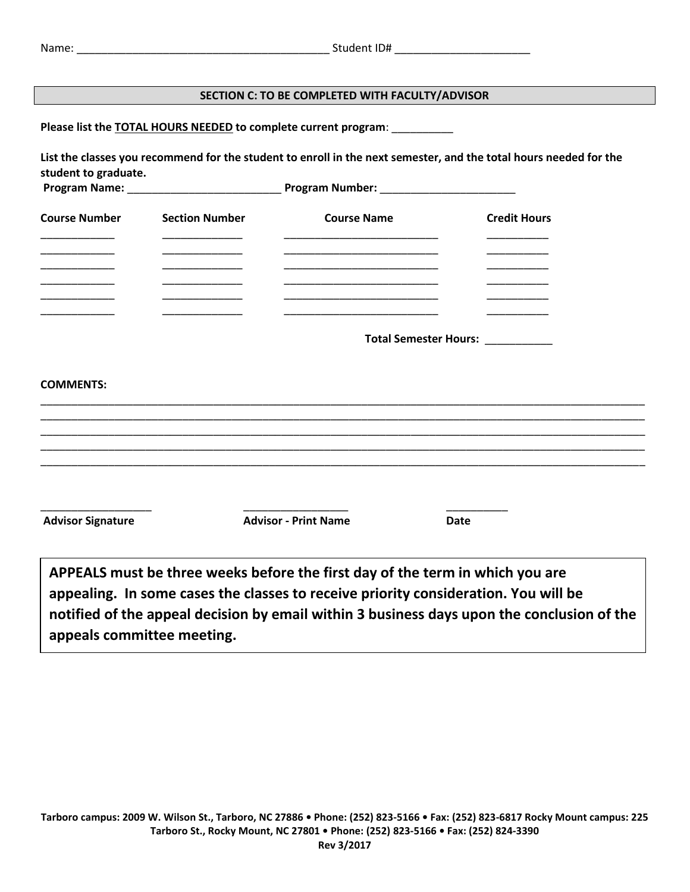## **SECTION C: TO BE COMPLETED WITH FACULTY/ADVISOR**

**Please list the TOTAL HOURS NEEDED to complete current program**: \_\_\_\_\_\_\_\_\_\_

**List the classes you recommend for the student to enroll in the next semester, and the total hours needed for the student to graduate.** 

| <b>Course Number</b> | <b>Section Number</b> | <b>Course Name</b>                                   | <b>Credit Hours</b> |
|----------------------|-----------------------|------------------------------------------------------|---------------------|
|                      |                       |                                                      |                     |
|                      |                       |                                                      |                     |
|                      |                       |                                                      |                     |
|                      |                       | Total Semester Hours:<br><u>Land Semester Hours:</u> |                     |

## **COMMENTS:**

| <b>Advisor Signature</b> | <b>Advisor - Print Name</b>                                                                                                                                                                                                                                        | Date |  |
|--------------------------|--------------------------------------------------------------------------------------------------------------------------------------------------------------------------------------------------------------------------------------------------------------------|------|--|
|                          | APPEALS must be three weeks before the first day of the term in which you are<br>appealing. In some cases the classes to receive priority consideration. You will be<br>notified of the appeal decision by email within 3 business days upon the conclusion of the |      |  |

**appeals committee meeting.**